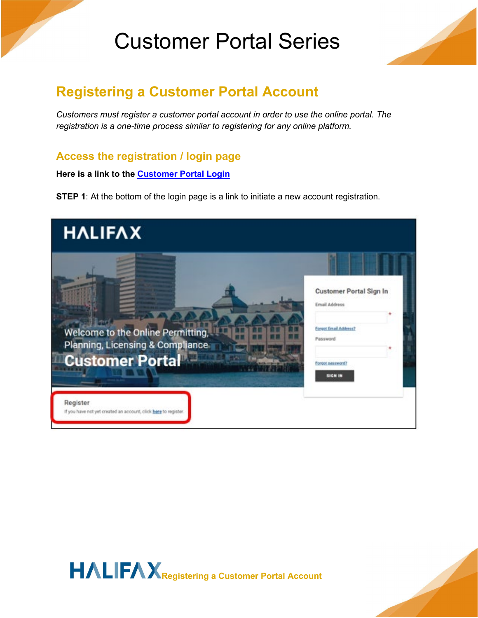

#### **Registering a Customer Portal Account**

*Customers must register a customer portal account in order to use the online portal. The registration is a one-time process similar to registering for any online platform.*

#### **Access the registration / login page**

**Here is a link to the [Customer Portal Login](https://plc.halifax.ca/hfxprod/pub/lms/Login.aspx)**

**STEP 1:** At the bottom of the login page is a link to initiate a new account registration.



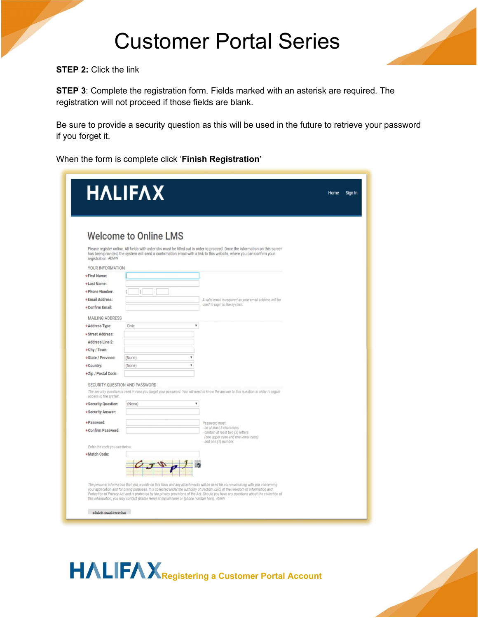

**STEP 2: Click the link** 

**STEP 3**: Complete the registration form. Fields marked with an asterisk are required. The registration will not proceed if those fields are blank.

Be sure to provide a security question as this will be used in the future to retrieve your password if you forget it.

When the form is complete click '**Finish Registration'**

| <b>Welcome to Online LMS</b><br>Please register online. All fields with asterisks must be filled out in order to proceed. Once the information on this screen<br>has been provided, the system will send a confirmation email with a link to this website, where you can confirm your<br>registration, ADMIN<br>YOUR INFORMATION<br>*First Name:<br>*Last Name:<br>*Phone Number:<br>*Email Address:<br>A valid email is required as your email address will be<br>used to login to the system.<br>*Confirm Email:<br><b>MAILING ADDRESS</b><br>۷<br>*Address Type:<br>Civic<br>* Street Address:<br><b>Address Line 2:</b><br>* City / Town:<br>*State / Province:<br>$\mathbf{v}$<br>(None)<br>,<br>(None)<br>*Country:<br>*Zip / Postal Code:<br>SECURITY QUESTION AND PASSWORD<br>The security question is used in case you forget your password. You will need to know the answer to this question in order to regain<br>access to the system.<br>* Security Question:<br>۷<br>(None)<br>* Security Answer:<br>*Password:<br>Password must:<br>- be at least 8 characters<br>*Confirm Password:<br>- contain at least two (2) letters<br>(one upper case and one lower case)<br>- and one (1) number.<br>Enter the code you see below.<br>*Match Code:<br>The personal information that you provide on this form and any attachments will be used for communicating with you concerning<br>your application and for billing purposes. It is collected under the authority of Section 33(c) of the Freedom of Information and<br>Protection of Privacy Act and is protected by the privacy provisions of the Act. Should you have any questions about the collection of<br>this information, you may contact (Name Here) at (email here) or (phone number here). ADMIN<br><b>Finich Denistration</b> | <b>HALIFAX</b> | Home | Sign In |
|----------------------------------------------------------------------------------------------------------------------------------------------------------------------------------------------------------------------------------------------------------------------------------------------------------------------------------------------------------------------------------------------------------------------------------------------------------------------------------------------------------------------------------------------------------------------------------------------------------------------------------------------------------------------------------------------------------------------------------------------------------------------------------------------------------------------------------------------------------------------------------------------------------------------------------------------------------------------------------------------------------------------------------------------------------------------------------------------------------------------------------------------------------------------------------------------------------------------------------------------------------------------------------------------------------------------------------------------------------------------------------------------------------------------------------------------------------------------------------------------------------------------------------------------------------------------------------------------------------------------------------------------------------------------------------------------------------------------------------------------------------------------------------------------------------|----------------|------|---------|
|                                                                                                                                                                                                                                                                                                                                                                                                                                                                                                                                                                                                                                                                                                                                                                                                                                                                                                                                                                                                                                                                                                                                                                                                                                                                                                                                                                                                                                                                                                                                                                                                                                                                                                                                                                                                          |                |      |         |
|                                                                                                                                                                                                                                                                                                                                                                                                                                                                                                                                                                                                                                                                                                                                                                                                                                                                                                                                                                                                                                                                                                                                                                                                                                                                                                                                                                                                                                                                                                                                                                                                                                                                                                                                                                                                          |                |      |         |
|                                                                                                                                                                                                                                                                                                                                                                                                                                                                                                                                                                                                                                                                                                                                                                                                                                                                                                                                                                                                                                                                                                                                                                                                                                                                                                                                                                                                                                                                                                                                                                                                                                                                                                                                                                                                          |                |      |         |
|                                                                                                                                                                                                                                                                                                                                                                                                                                                                                                                                                                                                                                                                                                                                                                                                                                                                                                                                                                                                                                                                                                                                                                                                                                                                                                                                                                                                                                                                                                                                                                                                                                                                                                                                                                                                          |                |      |         |
|                                                                                                                                                                                                                                                                                                                                                                                                                                                                                                                                                                                                                                                                                                                                                                                                                                                                                                                                                                                                                                                                                                                                                                                                                                                                                                                                                                                                                                                                                                                                                                                                                                                                                                                                                                                                          |                |      |         |
|                                                                                                                                                                                                                                                                                                                                                                                                                                                                                                                                                                                                                                                                                                                                                                                                                                                                                                                                                                                                                                                                                                                                                                                                                                                                                                                                                                                                                                                                                                                                                                                                                                                                                                                                                                                                          |                |      |         |
|                                                                                                                                                                                                                                                                                                                                                                                                                                                                                                                                                                                                                                                                                                                                                                                                                                                                                                                                                                                                                                                                                                                                                                                                                                                                                                                                                                                                                                                                                                                                                                                                                                                                                                                                                                                                          |                |      |         |
|                                                                                                                                                                                                                                                                                                                                                                                                                                                                                                                                                                                                                                                                                                                                                                                                                                                                                                                                                                                                                                                                                                                                                                                                                                                                                                                                                                                                                                                                                                                                                                                                                                                                                                                                                                                                          |                |      |         |
|                                                                                                                                                                                                                                                                                                                                                                                                                                                                                                                                                                                                                                                                                                                                                                                                                                                                                                                                                                                                                                                                                                                                                                                                                                                                                                                                                                                                                                                                                                                                                                                                                                                                                                                                                                                                          |                |      |         |
|                                                                                                                                                                                                                                                                                                                                                                                                                                                                                                                                                                                                                                                                                                                                                                                                                                                                                                                                                                                                                                                                                                                                                                                                                                                                                                                                                                                                                                                                                                                                                                                                                                                                                                                                                                                                          |                |      |         |
|                                                                                                                                                                                                                                                                                                                                                                                                                                                                                                                                                                                                                                                                                                                                                                                                                                                                                                                                                                                                                                                                                                                                                                                                                                                                                                                                                                                                                                                                                                                                                                                                                                                                                                                                                                                                          |                |      |         |
|                                                                                                                                                                                                                                                                                                                                                                                                                                                                                                                                                                                                                                                                                                                                                                                                                                                                                                                                                                                                                                                                                                                                                                                                                                                                                                                                                                                                                                                                                                                                                                                                                                                                                                                                                                                                          |                |      |         |
|                                                                                                                                                                                                                                                                                                                                                                                                                                                                                                                                                                                                                                                                                                                                                                                                                                                                                                                                                                                                                                                                                                                                                                                                                                                                                                                                                                                                                                                                                                                                                                                                                                                                                                                                                                                                          |                |      |         |
|                                                                                                                                                                                                                                                                                                                                                                                                                                                                                                                                                                                                                                                                                                                                                                                                                                                                                                                                                                                                                                                                                                                                                                                                                                                                                                                                                                                                                                                                                                                                                                                                                                                                                                                                                                                                          |                |      |         |
|                                                                                                                                                                                                                                                                                                                                                                                                                                                                                                                                                                                                                                                                                                                                                                                                                                                                                                                                                                                                                                                                                                                                                                                                                                                                                                                                                                                                                                                                                                                                                                                                                                                                                                                                                                                                          |                |      |         |
|                                                                                                                                                                                                                                                                                                                                                                                                                                                                                                                                                                                                                                                                                                                                                                                                                                                                                                                                                                                                                                                                                                                                                                                                                                                                                                                                                                                                                                                                                                                                                                                                                                                                                                                                                                                                          |                |      |         |
|                                                                                                                                                                                                                                                                                                                                                                                                                                                                                                                                                                                                                                                                                                                                                                                                                                                                                                                                                                                                                                                                                                                                                                                                                                                                                                                                                                                                                                                                                                                                                                                                                                                                                                                                                                                                          |                |      |         |
|                                                                                                                                                                                                                                                                                                                                                                                                                                                                                                                                                                                                                                                                                                                                                                                                                                                                                                                                                                                                                                                                                                                                                                                                                                                                                                                                                                                                                                                                                                                                                                                                                                                                                                                                                                                                          |                |      |         |
|                                                                                                                                                                                                                                                                                                                                                                                                                                                                                                                                                                                                                                                                                                                                                                                                                                                                                                                                                                                                                                                                                                                                                                                                                                                                                                                                                                                                                                                                                                                                                                                                                                                                                                                                                                                                          |                |      |         |
|                                                                                                                                                                                                                                                                                                                                                                                                                                                                                                                                                                                                                                                                                                                                                                                                                                                                                                                                                                                                                                                                                                                                                                                                                                                                                                                                                                                                                                                                                                                                                                                                                                                                                                                                                                                                          |                |      |         |
|                                                                                                                                                                                                                                                                                                                                                                                                                                                                                                                                                                                                                                                                                                                                                                                                                                                                                                                                                                                                                                                                                                                                                                                                                                                                                                                                                                                                                                                                                                                                                                                                                                                                                                                                                                                                          |                |      |         |
|                                                                                                                                                                                                                                                                                                                                                                                                                                                                                                                                                                                                                                                                                                                                                                                                                                                                                                                                                                                                                                                                                                                                                                                                                                                                                                                                                                                                                                                                                                                                                                                                                                                                                                                                                                                                          |                |      |         |
|                                                                                                                                                                                                                                                                                                                                                                                                                                                                                                                                                                                                                                                                                                                                                                                                                                                                                                                                                                                                                                                                                                                                                                                                                                                                                                                                                                                                                                                                                                                                                                                                                                                                                                                                                                                                          |                |      |         |
|                                                                                                                                                                                                                                                                                                                                                                                                                                                                                                                                                                                                                                                                                                                                                                                                                                                                                                                                                                                                                                                                                                                                                                                                                                                                                                                                                                                                                                                                                                                                                                                                                                                                                                                                                                                                          |                |      |         |
|                                                                                                                                                                                                                                                                                                                                                                                                                                                                                                                                                                                                                                                                                                                                                                                                                                                                                                                                                                                                                                                                                                                                                                                                                                                                                                                                                                                                                                                                                                                                                                                                                                                                                                                                                                                                          |                |      |         |
|                                                                                                                                                                                                                                                                                                                                                                                                                                                                                                                                                                                                                                                                                                                                                                                                                                                                                                                                                                                                                                                                                                                                                                                                                                                                                                                                                                                                                                                                                                                                                                                                                                                                                                                                                                                                          |                |      |         |
|                                                                                                                                                                                                                                                                                                                                                                                                                                                                                                                                                                                                                                                                                                                                                                                                                                                                                                                                                                                                                                                                                                                                                                                                                                                                                                                                                                                                                                                                                                                                                                                                                                                                                                                                                                                                          |                |      |         |
|                                                                                                                                                                                                                                                                                                                                                                                                                                                                                                                                                                                                                                                                                                                                                                                                                                                                                                                                                                                                                                                                                                                                                                                                                                                                                                                                                                                                                                                                                                                                                                                                                                                                                                                                                                                                          |                |      |         |
|                                                                                                                                                                                                                                                                                                                                                                                                                                                                                                                                                                                                                                                                                                                                                                                                                                                                                                                                                                                                                                                                                                                                                                                                                                                                                                                                                                                                                                                                                                                                                                                                                                                                                                                                                                                                          |                |      |         |
|                                                                                                                                                                                                                                                                                                                                                                                                                                                                                                                                                                                                                                                                                                                                                                                                                                                                                                                                                                                                                                                                                                                                                                                                                                                                                                                                                                                                                                                                                                                                                                                                                                                                                                                                                                                                          |                |      |         |
|                                                                                                                                                                                                                                                                                                                                                                                                                                                                                                                                                                                                                                                                                                                                                                                                                                                                                                                                                                                                                                                                                                                                                                                                                                                                                                                                                                                                                                                                                                                                                                                                                                                                                                                                                                                                          |                |      |         |
|                                                                                                                                                                                                                                                                                                                                                                                                                                                                                                                                                                                                                                                                                                                                                                                                                                                                                                                                                                                                                                                                                                                                                                                                                                                                                                                                                                                                                                                                                                                                                                                                                                                                                                                                                                                                          |                |      |         |

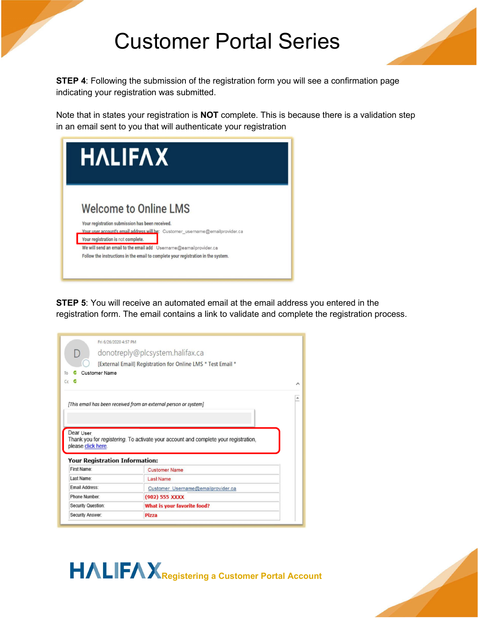

**STEP 4**: Following the submission of the registration form you will see a confirmation page indicating your registration was submitted.

Note that in states your registration is **NOT** complete. This is because there is a validation step in an email sent to you that will authenticate your registration

| <b>HALIFAX</b>                                                                        |                                                                               |
|---------------------------------------------------------------------------------------|-------------------------------------------------------------------------------|
|                                                                                       |                                                                               |
| <b>Welcome to Online LMS</b>                                                          |                                                                               |
| Your registration submission has been received.<br>Your registration is not complete. | Your user account's email address will be: Customer_username@emailprovider.ca |

**STEP 5**: You will receive an automated email at the email address you entered in the registration form. The email contains a link to validate and complete the registration process.

|                                                                                          | donotreply@plcsystem.halifax.ca                                                     |  |
|------------------------------------------------------------------------------------------|-------------------------------------------------------------------------------------|--|
|                                                                                          | [External Email] Registration for Online LMS * Test Email *                         |  |
| <b>Customer Name</b>                                                                     |                                                                                     |  |
| $c_{c}$ $c_{c}$                                                                          |                                                                                     |  |
|                                                                                          |                                                                                     |  |
|                                                                                          |                                                                                     |  |
|                                                                                          | [This email has been received from an external person or system]                    |  |
|                                                                                          |                                                                                     |  |
|                                                                                          |                                                                                     |  |
|                                                                                          |                                                                                     |  |
|                                                                                          |                                                                                     |  |
|                                                                                          |                                                                                     |  |
| Dear User                                                                                |                                                                                     |  |
|                                                                                          | Thank you for registering. To activate your account and complete your registration, |  |
|                                                                                          |                                                                                     |  |
|                                                                                          |                                                                                     |  |
| First Name:                                                                              | <b>Customer Name</b>                                                                |  |
| Last Name:                                                                               | <b>Last Name</b>                                                                    |  |
| <b>Email Address:</b>                                                                    | Customer Username@emailprovider.ca                                                  |  |
| Phone Number:                                                                            | (902) 555 XXXX                                                                      |  |
| please click here.<br><b>Your Registration Information:</b><br><b>Security Question:</b> | What is your favorite food?                                                         |  |

**HALIFAX** Registering a Customer Portal Account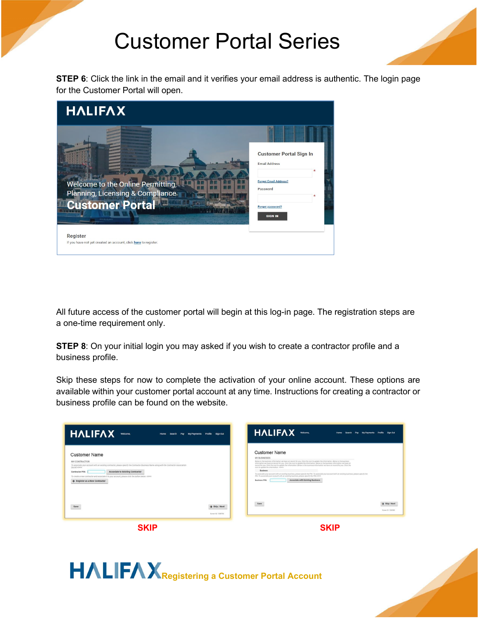

**STEP 6**: Click the link in the email and it verifies your email address is authentic. The login page for the Customer Portal will open.

| <b>HALIFAX</b>                                                                                  |                                                                                                                                          |
|-------------------------------------------------------------------------------------------------|------------------------------------------------------------------------------------------------------------------------------------------|
| Welcome to the Online Permitting,<br>Planning, Licensing & Compliance<br><b>Customer Portal</b> | <b>Customer Portal Sign In</b><br><b>Email Address</b><br><b>Forgot Email Address?</b><br>Password<br>Forgot password?<br><b>SIGN IN</b> |
| Register<br>If you have not yet created an account, click here to register.                     |                                                                                                                                          |

All future access of the customer portal will begin at this log-in page. The registration steps are a one-time requirement only.

**STEP 8**: On your initial login you may asked if you wish to create a contractor profile and a business profile.

Skip these steps for now to complete the activation of your online account. These options are available within your customer portal account at any time. Instructions for creating a contractor or business profile can be found on the website.

| <b>HALIFAX</b><br>Welcome,<br>Home<br>Sign Out<br>Search<br>Pay<br>My Payments Profile                                                                                                                                                                                                                                                                                                            | <b>HALIFAX</b><br>Welcome,<br>My Payments Profile Sign Out<br>Home<br>Search<br>Pay                                                                                                                                                                                                                                                                                                                                                                                                                                                                                                                                                                                                                                                                                                                                  |
|---------------------------------------------------------------------------------------------------------------------------------------------------------------------------------------------------------------------------------------------------------------------------------------------------------------------------------------------------------------------------------------------------|----------------------------------------------------------------------------------------------------------------------------------------------------------------------------------------------------------------------------------------------------------------------------------------------------------------------------------------------------------------------------------------------------------------------------------------------------------------------------------------------------------------------------------------------------------------------------------------------------------------------------------------------------------------------------------------------------------------------------------------------------------------------------------------------------------------------|
| <b>Customer Name</b><br>MY CONTRACTOR<br>To associate your account with an existing contractor, please specify the Contractor Business Name along with the Contractor Association<br>Secret Attenty<br>Associate to Existing Contractor<br>Contractor PIN:<br>To create a new contractor and associate it to your account, please click the button below. ADMIN<br>+ Register as a New Contractor | <b>Customer Name</b><br>MY BUSINESSES<br>Below is the business information we have on record for you. Click the icon to update the information. Below is the business<br>information we have on record for you. Click the icon to update the information. Below is the business information we have on<br>record for you. Click the icon to update the information. Below is the business information we have on record for you. Click the<br>icon to update the information. AdMIN<br>Rusiness<br>To associate your account with an existing business, please specify the PIN. To associate your account with an existing business, please specify the<br>PIN. To associate your account with an existing business, please specify the PIN ADMIN<br><b>Associate with Existing Business</b><br><b>Business PIN:</b> |
| $\rightarrow$ Skip / Next<br>Save<br>Screen ID: 1338750                                                                                                                                                                                                                                                                                                                                           | Save<br>$\rightarrow$ Skip / Next<br>Screen (D. 1338560)                                                                                                                                                                                                                                                                                                                                                                                                                                                                                                                                                                                                                                                                                                                                                             |

**SKIP SKIP**